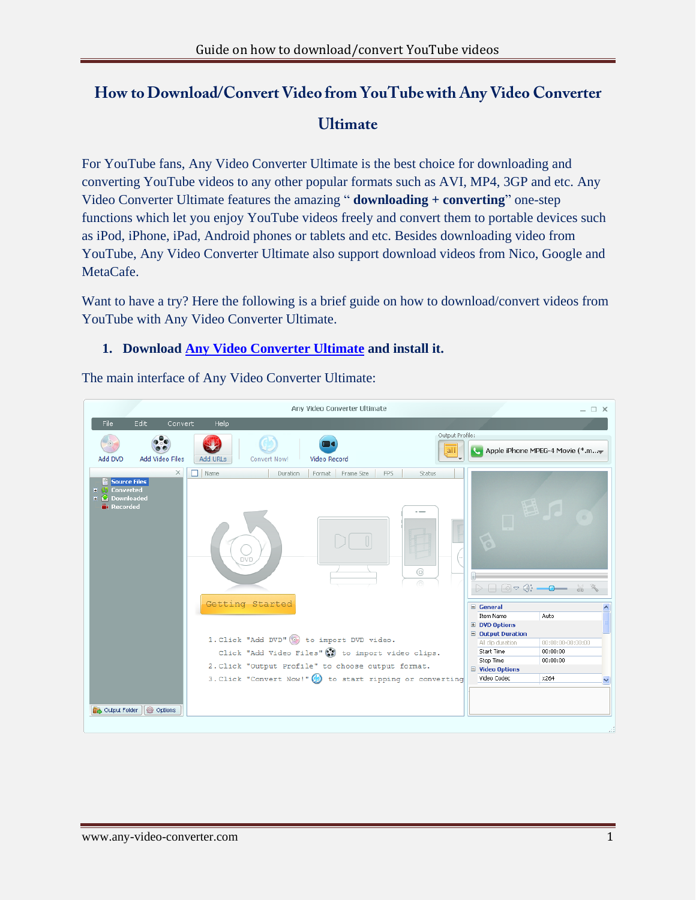# How to Download/Convert Video from YouTube with Any Video Converter **Ultimate**

For YouTube fans, Any Video Converter Ultimate is the best choice for downloading and converting YouTube videos to any other popular formats such as AVI, MP4, 3GP and etc. Any Video Converter Ultimate features the amazing " **downloading + converting**" one-step functions which let you enjoy YouTube videos freely and convert them to portable devices such as iPod, iPhone, iPad, Android phones or tablets and etc. Besides downloading video from YouTube, Any Video Converter Ultimate also support download videos from Nico, Google and MetaCafe.

Want to have a try? Here the following is a brief guide on how to download/convert videos from YouTube with Any Video Converter Ultimate.

## **1. Download [Any Video Converter Ultimate](http://www.any-video-converter.com/avc-ultimate.exe) and install it.**

The main interface of Any Video Converter Ultimate:

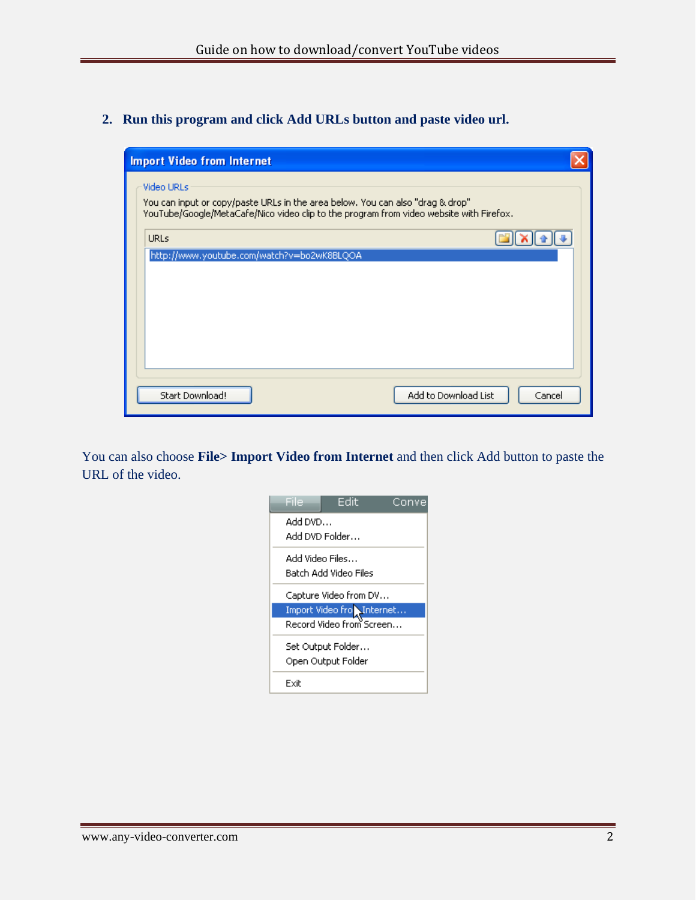#### **2. Run this program and click Add URLs button and paste video url.**

| <b>Import Video from Internet</b>                                                                                                                                                              |        |
|------------------------------------------------------------------------------------------------------------------------------------------------------------------------------------------------|--------|
| <b>Video URLs</b><br>You can input or copy/paste URLs in the area below. You can also "drag & drop"<br>YouTube/Google/MetaCafe/Nico video clip to the program from video website with Firefox. |        |
| <b>URLs</b>                                                                                                                                                                                    |        |
| http://www.youtube.com/watch?v=bo2wK8BLQOA                                                                                                                                                     |        |
|                                                                                                                                                                                                |        |
|                                                                                                                                                                                                |        |
|                                                                                                                                                                                                |        |
|                                                                                                                                                                                                |        |
|                                                                                                                                                                                                |        |
| Add to Download List<br>Start Download!                                                                                                                                                        | Cancel |

You can also choose **File> Import Video from Internet** and then click Add button to paste the URL of the video.

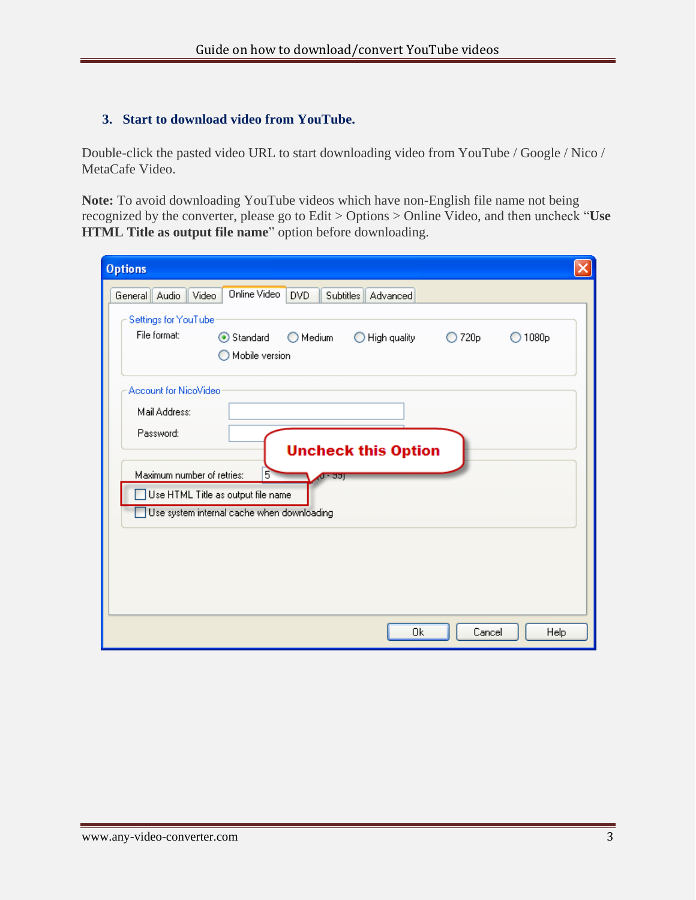### **3. Start to download video from YouTube.**

Double-click the pasted video URL to start downloading video from YouTube / Google / Nico / MetaCafe Video.

**Note:** To avoid downloading YouTube videos which have non-English file name not being recognized by the converter, please go to Edit > Options > Online Video, and then uncheck "**Use HTML Title as output file name**" option before downloading.

| <b>Options</b>                                                                                                                                                                                                                                 |  |
|------------------------------------------------------------------------------------------------------------------------------------------------------------------------------------------------------------------------------------------------|--|
| <b>Online Video</b><br>Video<br>DVD.<br>General   Audio<br>Subtitles<br>Advanced<br>Settings for YouTube<br>File format:<br>Standard<br>$\bigcirc$ Medium<br>High quality<br>720 <sub>p</sub><br>1080 <sub>p</sub><br>$\bigcirc$<br>$\bigcirc$ |  |
| Mobile version                                                                                                                                                                                                                                 |  |
| Account for NicoVideo<br>Mail Address:                                                                                                                                                                                                         |  |
| Password:<br><b>Uncheck this Option</b>                                                                                                                                                                                                        |  |
| Maximum number of retries:<br>5<br>क उज<br>Use HTML Title as output file name                                                                                                                                                                  |  |
| Use system internal cache when downloading                                                                                                                                                                                                     |  |
|                                                                                                                                                                                                                                                |  |
|                                                                                                                                                                                                                                                |  |
| Cancel<br>Ok<br>Help                                                                                                                                                                                                                           |  |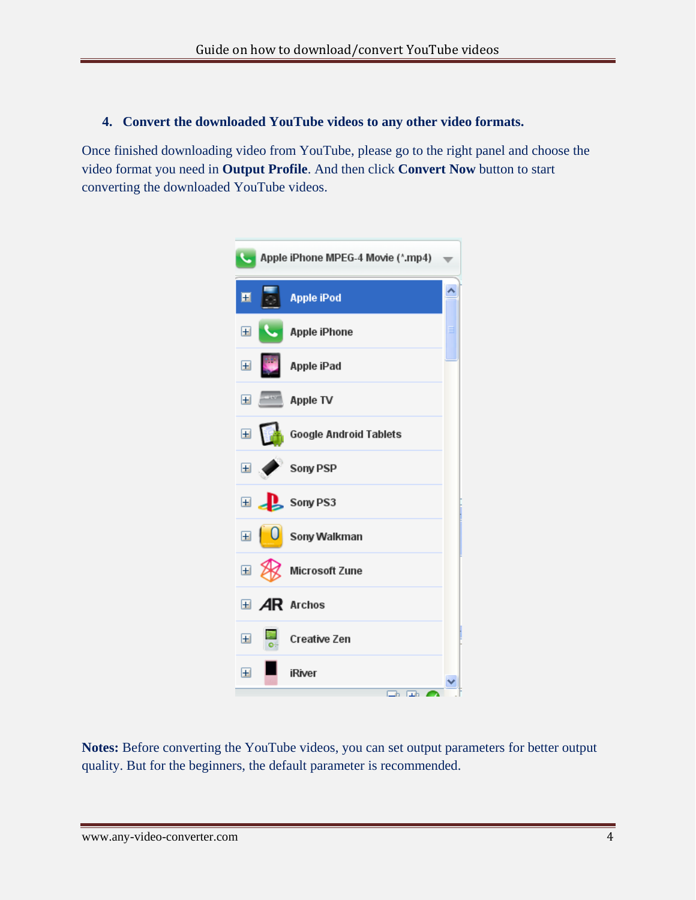## **4. Convert the downloaded YouTube videos to any other video formats.**

Once finished downloading video from YouTube, please go to the right panel and choose the video format you need in **Output Profile**. And then click **Convert Now** button to start converting the downloaded YouTube videos.



**Notes:** Before converting the YouTube videos, you can set output parameters for better output quality. But for the beginners, the default parameter is recommended.